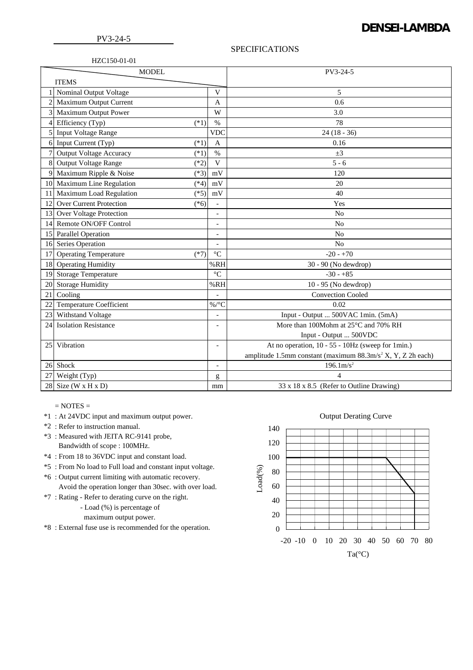## **DENSEI-LAMBDA**

## SPECIFICATIONS

| HZC150-01-01 |
|--------------|
|--------------|

| <b>MODEL</b>   |                                          |                          | PV3-24-5                                                                |  |
|----------------|------------------------------------------|--------------------------|-------------------------------------------------------------------------|--|
| <b>ITEMS</b>   |                                          |                          |                                                                         |  |
|                | Nominal Output Voltage                   | $\mathbf{V}$             | 5                                                                       |  |
|                | Maximum Output Current                   | A                        | 0.6                                                                     |  |
|                | Maximum Output Power                     | W                        | 3.0                                                                     |  |
| $\overline{4}$ | Efficiency (Typ)<br>$(*1)$               | $\frac{0}{0}$            | 78                                                                      |  |
| 5              | <b>Input Voltage Range</b>               | <b>VDC</b>               | $24(18-36)$                                                             |  |
|                | 6 Input Current (Typ)<br>$(*1)$          | A                        | 0.16                                                                    |  |
|                | <b>Output Voltage Accuracy</b><br>$(*1)$ | $\%$                     | $\pm 3$                                                                 |  |
| 8              | Output Voltage Range<br>$(*2)$           | V                        | $5 - 6$                                                                 |  |
| 9              | Maximum Ripple & Noise<br>$(*3)$         | mV                       | 120                                                                     |  |
|                | 10 Maximum Line Regulation<br>$(*4)$     | mV                       | 20                                                                      |  |
| 11             | Maximum Load Regulation<br>$(*5)$        | mV                       | 40                                                                      |  |
| 12             | <b>Over Current Protection</b><br>$(*6)$ | $\overline{\phantom{a}}$ | Yes                                                                     |  |
| 13             | Over Voltage Protection                  | $\overline{a}$           | N <sub>o</sub>                                                          |  |
|                | 14 Remote ON/OFF Control                 | $\overline{\phantom{a}}$ | No                                                                      |  |
|                | 15 Parallel Operation                    | $\overline{\phantom{a}}$ | N <sub>o</sub>                                                          |  |
|                | 16 Series Operation                      | $\overline{a}$           | No                                                                      |  |
| 17             | <b>Operating Temperature</b><br>$(*7)$   | $\rm ^{\circ}C$          | $-20 - +70$                                                             |  |
|                | 18 Operating Humidity                    | %RH                      | 30 - 90 (No dewdrop)                                                    |  |
| 19             | <b>Storage Temperature</b>               | $\rm ^{\circ}C$          | $-30 - +85$                                                             |  |
| 20             | <b>Storage Humidity</b>                  | %RH                      | 10 - 95 (No dewdrop)                                                    |  |
| 21             | Cooling                                  |                          | <b>Convection Cooled</b>                                                |  |
| 22             | <b>Temperature Coefficient</b>           | $\%$ /°C                 | 0.02                                                                    |  |
| 23             | Withstand Voltage                        |                          | Input - Output  500VAC 1min. (5mA)                                      |  |
| 24             | <b>Isolation Resistance</b>              | $\overline{\phantom{a}}$ | More than 100Mohm at 25°C and 70% RH                                    |  |
|                |                                          |                          | Input - Output  500VDC                                                  |  |
| 25             | Vibration                                | $\overline{a}$           | At no operation, 10 - 55 - 10Hz (sweep for 1min.)                       |  |
|                |                                          |                          | amplitude 1.5mm constant (maximum 88.3m/s <sup>2</sup> X, Y, Z 2h each) |  |
|                | 26 Shock                                 | $\overline{\phantom{a}}$ | $196.1 \text{m/s}^2$                                                    |  |
| 27             | Weight (Typ)                             | g                        | $\overline{4}$                                                          |  |
| 28             | Size ( $W \times H \times D$ )           | mm                       | 33 x 18 x 8.5 (Refer to Outline Drawing)                                |  |

- $=$  NOTES  $=$
- \*1 : At 24VDC input and maximum output power.
- \*2 : Refer to instruction manual.
- \*3 : Measured with JEITA RC-9141 probe,
	- Bandwidth of scope : 100MHz.
- \*4 : From 18 to 36VDC input and constant load.
- \*5 : From No load to Full load and constant input voltage.
- \*6 : Output current limiting with automatic recovery. Avoid the operation longer than 30sec. with over load.
- \*7 : Rating Refer to derating curve on the right.
	- Load (%) is percentage of
	- maximum output power.
- \*8 : External fuse use is recommended for the operation.